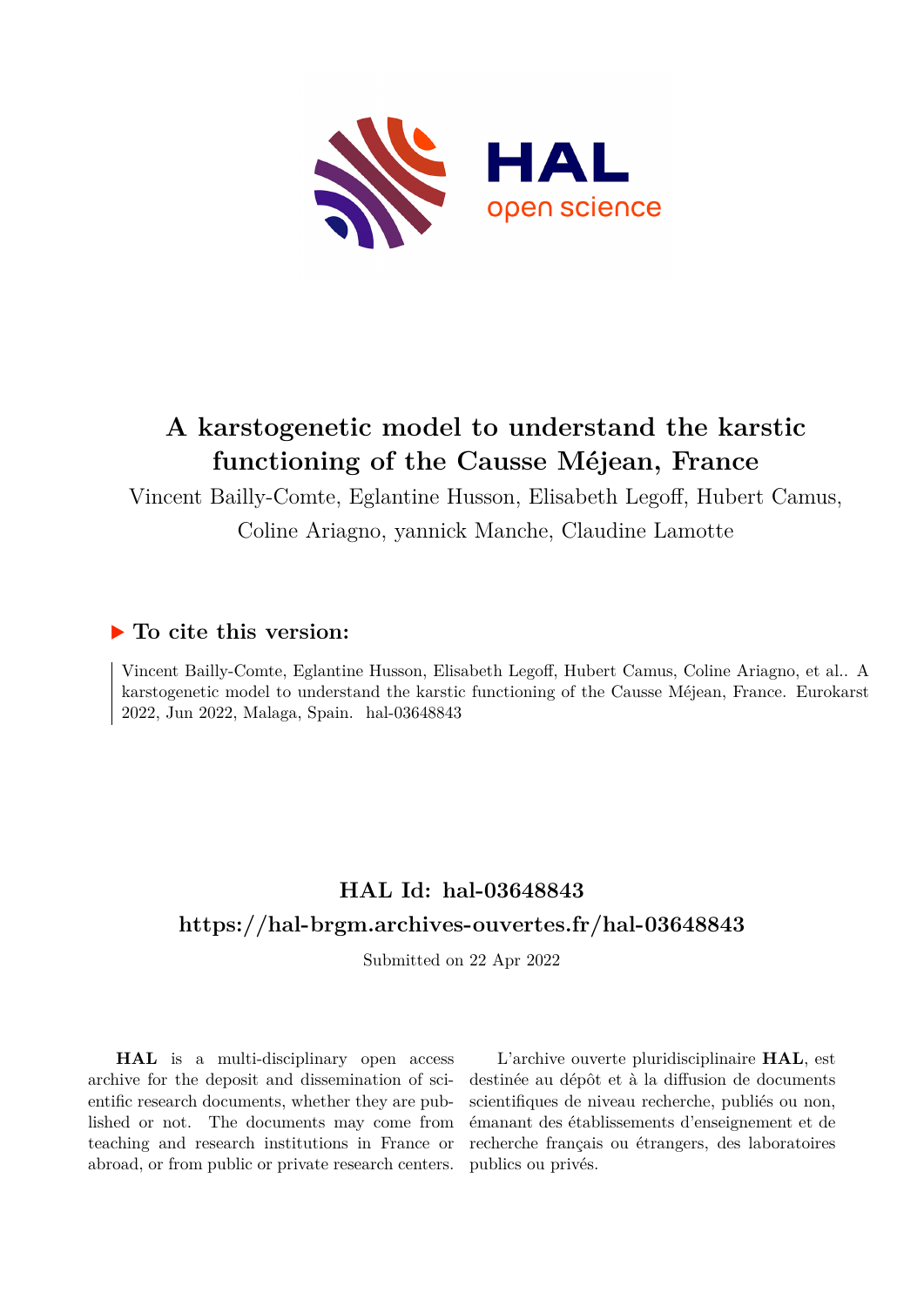

## **A karstogenetic model to understand the karstic functioning of the Causse Méjean, France**

Vincent Bailly-Comte, Eglantine Husson, Elisabeth Legoff, Hubert Camus,

Coline Ariagno, yannick Manche, Claudine Lamotte

## **To cite this version:**

Vincent Bailly-Comte, Eglantine Husson, Elisabeth Legoff, Hubert Camus, Coline Ariagno, et al.. A karstogenetic model to understand the karstic functioning of the Causse Méjean, France. Eurokarst 2022, Jun 2022, Malaga, Spain. hal-03648843

## **HAL Id: hal-03648843 <https://hal-brgm.archives-ouvertes.fr/hal-03648843>**

Submitted on 22 Apr 2022

**HAL** is a multi-disciplinary open access archive for the deposit and dissemination of scientific research documents, whether they are published or not. The documents may come from teaching and research institutions in France or abroad, or from public or private research centers.

L'archive ouverte pluridisciplinaire **HAL**, est destinée au dépôt et à la diffusion de documents scientifiques de niveau recherche, publiés ou non, émanant des établissements d'enseignement et de recherche français ou étrangers, des laboratoires publics ou privés.